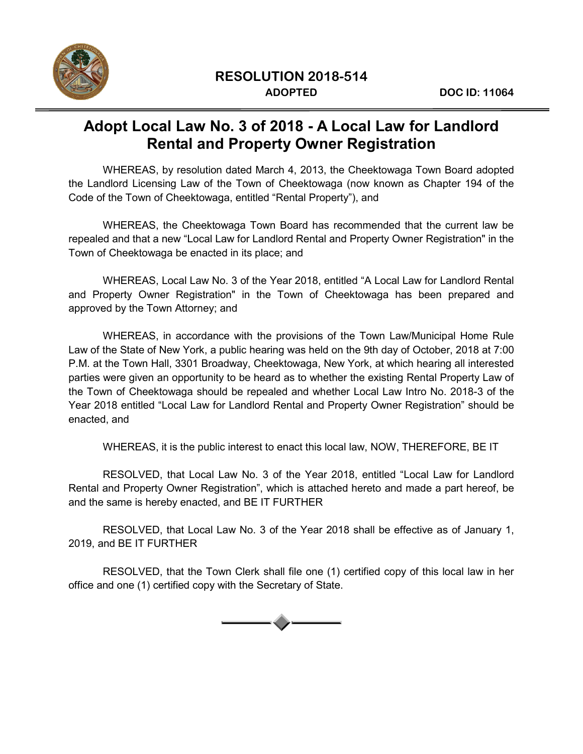

### **Adopt Local Law No. 3 of 2018 - A Local Law for Landlord Rental and Property Owner Registration**

WHEREAS, by resolution dated March 4, 2013, the Cheektowaga Town Board adopted the Landlord Licensing Law of the Town of Cheektowaga (now known as Chapter 194 of the Code of the Town of Cheektowaga, entitled "Rental Property"), and

WHEREAS, the Cheektowaga Town Board has recommended that the current law be repealed and that a new "Local Law for Landlord Rental and Property Owner Registration" in the Town of Cheektowaga be enacted in its place; and

WHEREAS, Local Law No. 3 of the Year 2018, entitled "A Local Law for Landlord Rental and Property Owner Registration" in the Town of Cheektowaga has been prepared and approved by the Town Attorney; and

WHEREAS, in accordance with the provisions of the Town Law/Municipal Home Rule Law of the State of New York, a public hearing was held on the 9th day of October, 2018 at 7:00 P.M. at the Town Hall, 3301 Broadway, Cheektowaga, New York, at which hearing all interested parties were given an opportunity to be heard as to whether the existing Rental Property Law of the Town of Cheektowaga should be repealed and whether Local Law Intro No. 2018-3 of the Year 2018 entitled "Local Law for Landlord Rental and Property Owner Registration" should be enacted, and

WHEREAS, it is the public interest to enact this local law, NOW, THEREFORE, BE IT

RESOLVED, that Local Law No. 3 of the Year 2018, entitled "Local Law for Landlord Rental and Property Owner Registration", which is attached hereto and made a part hereof, be and the same is hereby enacted, and BE IT FURTHER

RESOLVED, that Local Law No. 3 of the Year 2018 shall be effective as of January 1, 2019, and BE IT FURTHER

RESOLVED, that the Town Clerk shall file one (1) certified copy of this local law in her office and one (1) certified copy with the Secretary of State.

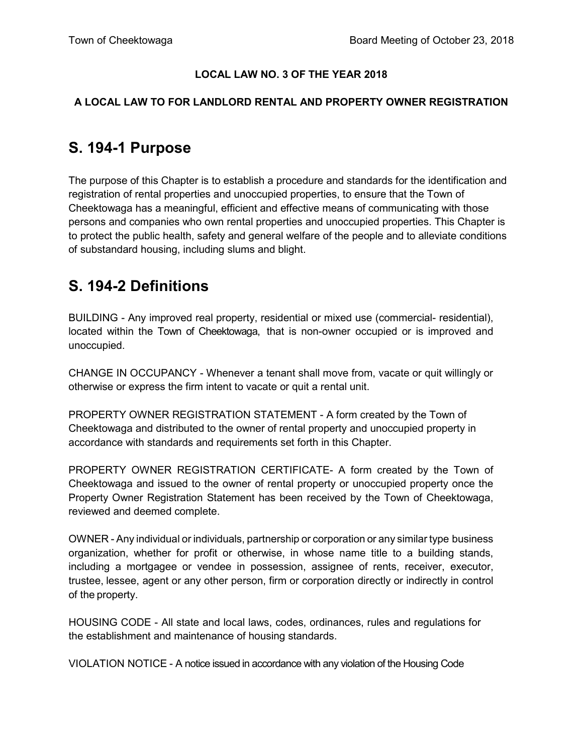#### **LOCAL LAW NO. 3 OF THE YEAR 2018**

#### **A LOCAL LAW TO FOR LANDLORD RENTAL AND PROPERTY OWNER REGISTRATION**

### **S. 194-1 Purpose**

The purpose of this Chapter is to establish a procedure and standards for the identification and registration of rental properties and unoccupied properties, to ensure that the Town of Cheektowaga has a meaningful, efficient and effective means of communicating with those persons and companies who own rental properties and unoccupied properties. This Chapter is to protect the public health, safety and general welfare of the people and to alleviate conditions of substandard housing, including slums and blight.

### **S. 194-2 Definitions**

BUILDING - Any improved real property, residential or mixed use (commercial- residential), located within the Town of Cheektowaga, that is non-owner occupied or is improved and unoccupied.

CHANGE IN OCCUPANCY - Whenever a tenant shall move from, vacate or quit willingly or otherwise or express the firm intent to vacate or quit a rental unit.

PROPERTY OWNER REGISTRATION STATEMENT - A form created by the Town of Cheektowaga and distributed to the owner of rental property and unoccupied property in accordance with standards and requirements set forth in this Chapter.

PROPERTY OWNER REGISTRATION CERTIFICATE- A form created by the Town of Cheektowaga and issued to the owner of rental property or unoccupied property once the Property Owner Registration Statement has been received by the Town of Cheektowaga, reviewed and deemed complete.

OWNER - Any individual or individuals, partnership or corporation or any similar type business organization, whether for profit or otherwise, in whose name title to a building stands, including a mortgagee or vendee in possession, assignee of rents, receiver, executor, trustee, lessee, agent or any other person, firm or corporation directly or indirectly in control of the property.

HOUSING CODE - All state and local laws, codes, ordinances, rules and regulations for the establishment and maintenance of housing standards.

VIOLATION NOTICE - A notice issued in accordance with any violation of the Housing Code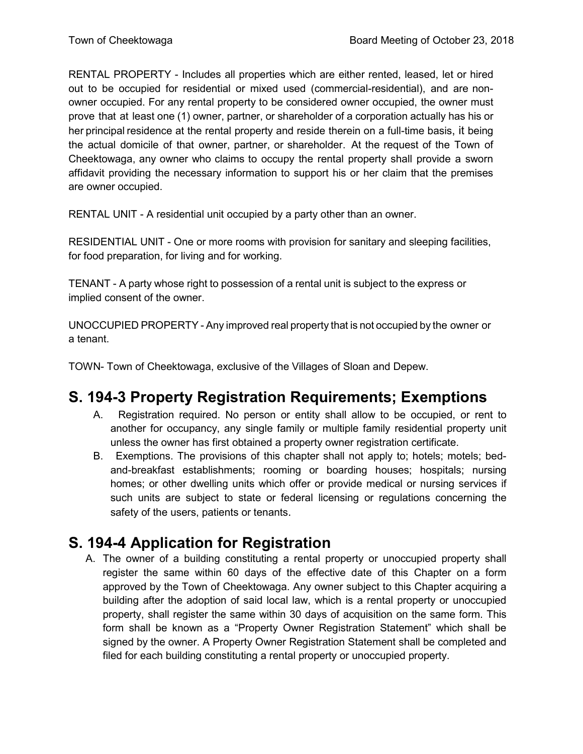RENTAL PROPERTY - Includes all properties which are either rented, leased, let or hired out to be occupied for residential or mixed used (commercial-residential), and are nonowner occupied. For any rental property to be considered owner occupied, the owner must prove that at least one (1) owner, partner, or shareholder of a corporation actually has his or her principal residence at the rental property and reside therein on a full-time basis, it being the actual domicile of that owner, partner, or shareholder. At the request of the Town of Cheektowaga, any owner who claims to occupy the rental property shall provide a sworn affidavit providing the necessary information to support his or her claim that the premises are owner occupied.

RENTAL UNIT - A residential unit occupied by a party other than an owner.

RESIDENTIAL UNIT - One or more rooms with provision for sanitary and sleeping facilities, for food preparation, for living and for working.

TENANT - A party whose right to possession of a rental unit is subject to the express or implied consent of the owner.

UNOCCUPIED PROPERTY - Any improved real property that is not occupied by the owner or a tenant.

TOWN- Town of Cheektowaga, exclusive of the Villages of Sloan and Depew.

## **S. 194-3 Property Registration Requirements; Exemptions**

- A. Registration required. No person or entity shall allow to be occupied, or rent to another for occupancy, any single family or multiple family residential property unit unless the owner has first obtained a property owner registration certificate.
- B. Exemptions. The provisions of this chapter shall not apply to; hotels; motels; bedand-breakfast establishments; rooming or boarding houses; hospitals; nursing homes; or other dwelling units which offer or provide medical or nursing services if such units are subject to state or federal licensing or regulations concerning the safety of the users, patients or tenants.

### **S. 194-4 Application for Registration**

A. The owner of a building constituting a rental property or unoccupied property shall register the same within 60 days of the effective date of this Chapter on a form approved by the Town of Cheektowaga. Any owner subject to this Chapter acquiring a building after the adoption of said local law, which is a rental property or unoccupied property, shall register the same within 30 days of acquisition on the same form. This form shall be known as a "Property Owner Registration Statement" which shall be signed by the owner. A Property Owner Registration Statement shall be completed and filed for each building constituting a rental property or unoccupied property.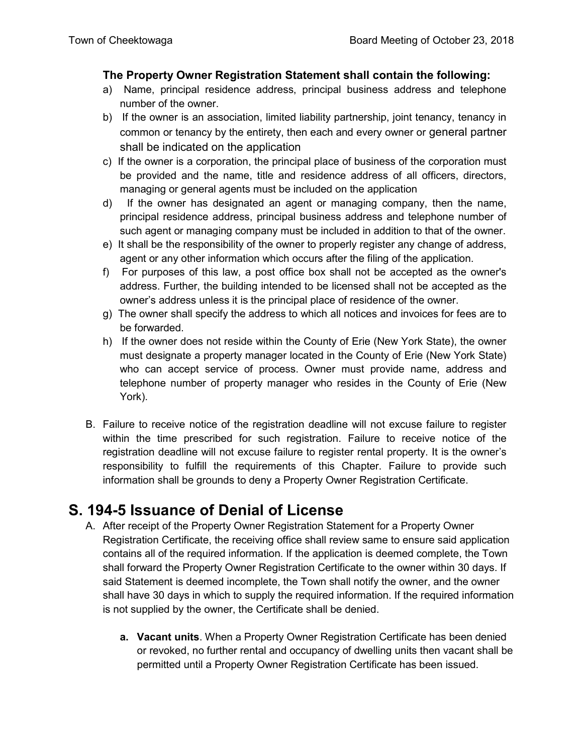#### **The Property Owner Registration Statement shall contain the following:**

- a) Name, principal residence address, principal business address and telephone number of the owner.
- b) If the owner is an association, limited liability partnership, joint tenancy, tenancy in common or tenancy by the entirety, then each and every owner or general partner shall be indicated on the application
- c) If the owner is a corporation, the principal place of business of the corporation must be provided and the name, title and residence address of all officers, directors, managing or general agents must be included on the application
- d) If the owner has designated an agent or managing company, then the name, principal residence address, principal business address and telephone number of such agent or managing company must be included in addition to that of the owner.
- e) It shall be the responsibility of the owner to properly register any change of address, agent or any other information which occurs after the filing of the application.
- f) For purposes of this law, a post office box shall not be accepted as the owner's address. Further, the building intended to be licensed shall not be accepted as the owner's address unless it is the principal place of residence of the owner.
- g) The owner shall specify the address to which all notices and invoices for fees are to be forwarded.
- h) If the owner does not reside within the County of Erie (New York State), the owner must designate a property manager located in the County of Erie (New York State) who can accept service of process. Owner must provide name, address and telephone number of property manager who resides in the County of Erie (New York).
- B. Failure to receive notice of the registration deadline will not excuse failure to register within the time prescribed for such registration. Failure to receive notice of the registration deadline will not excuse failure to register rental property. It is the owner's responsibility to fulfill the requirements of this Chapter. Failure to provide such information shall be grounds to deny a Property Owner Registration Certificate.

### **S. 194-5 Issuance of Denial of License**

- A. After receipt of the Property Owner Registration Statement for a Property Owner Registration Certificate, the receiving office shall review same to ensure said application contains all of the required information. If the application is deemed complete, the Town shall forward the Property Owner Registration Certificate to the owner within 30 days. If said Statement is deemed incomplete, the Town shall notify the owner, and the owner shall have 30 days in which to supply the required information. If the required information is not supplied by the owner, the Certificate shall be denied.
	- **a. Vacant units**. When a Property Owner Registration Certificate has been denied or revoked, no further rental and occupancy of dwelling units then vacant shall be permitted until a Property Owner Registration Certificate has been issued.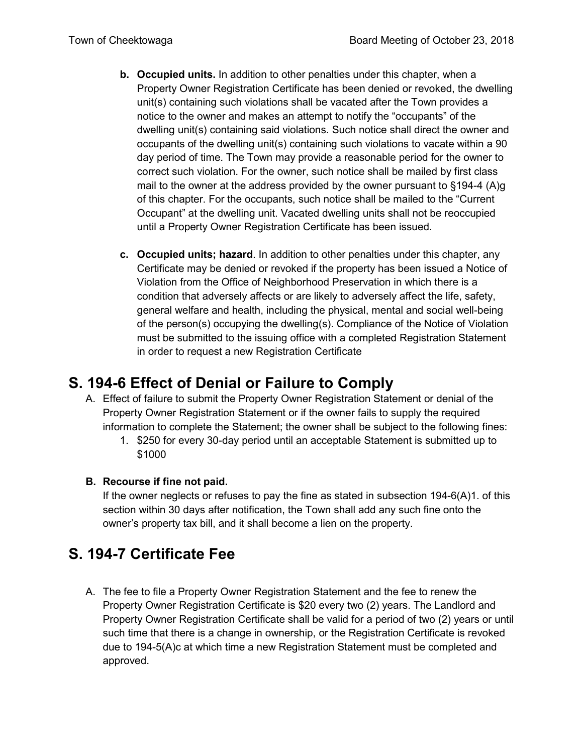- **b. Occupied units.** In addition to other penalties under this chapter, when a Property Owner Registration Certificate has been denied or revoked, the dwelling unit(s) containing such violations shall be vacated after the Town provides a notice to the owner and makes an attempt to notify the "occupants" of the dwelling unit(s) containing said violations. Such notice shall direct the owner and occupants of the dwelling unit(s) containing such violations to vacate within a 90 day period of time. The Town may provide a reasonable period for the owner to correct such violation. For the owner, such notice shall be mailed by first class mail to the owner at the address provided by the owner pursuant to §194-4 (A)g of this chapter. For the occupants, such notice shall be mailed to the "Current Occupant" at the dwelling unit. Vacated dwelling units shall not be reoccupied until a Property Owner Registration Certificate has been issued.
- **c. Occupied units; hazard**. In addition to other penalties under this chapter, any Certificate may be denied or revoked if the property has been issued a Notice of Violation from the Office of Neighborhood Preservation in which there is a condition that adversely affects or are likely to adversely affect the life, safety, general welfare and health, including the physical, mental and social well-being of the person(s) occupying the dwelling(s). Compliance of the Notice of Violation must be submitted to the issuing office with a completed Registration Statement in order to request a new Registration Certificate

## **S. 194-6 Effect of Denial or Failure to Comply**

- A. Effect of failure to submit the Property Owner Registration Statement or denial of the Property Owner Registration Statement or if the owner fails to supply the required information to complete the Statement; the owner shall be subject to the following fines:
	- 1. \$250 for every 30-day period until an acceptable Statement is submitted up to \$1000

#### **B. Recourse if fine not paid.**

If the owner neglects or refuses to pay the fine as stated in subsection 194-6(A)1. of this section within 30 days after notification, the Town shall add any such fine onto the owner's property tax bill, and it shall become a lien on the property.

# **S. 194-7 Certificate Fee**

A. The fee to file a Property Owner Registration Statement and the fee to renew the Property Owner Registration Certificate is \$20 every two (2) years. The Landlord and Property Owner Registration Certificate shall be valid for a period of two (2) years or until such time that there is a change in ownership, or the Registration Certificate is revoked due to 194-5(A)c at which time a new Registration Statement must be completed and approved.